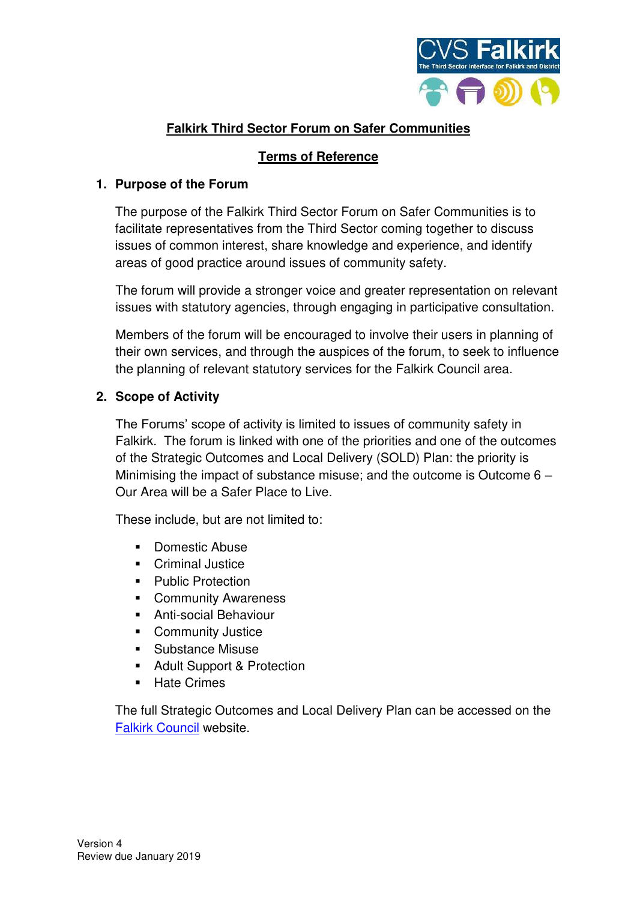

# **Falkirk Third Sector Forum on Safer Communities**

## **Terms of Reference**

#### **1. Purpose of the Forum**

The purpose of the Falkirk Third Sector Forum on Safer Communities is to facilitate representatives from the Third Sector coming together to discuss issues of common interest, share knowledge and experience, and identify areas of good practice around issues of community safety.

The forum will provide a stronger voice and greater representation on relevant issues with statutory agencies, through engaging in participative consultation.

Members of the forum will be encouraged to involve their users in planning of their own services, and through the auspices of the forum, to seek to influence the planning of relevant statutory services for the Falkirk Council area.

### **2. Scope of Activity**

The Forums' scope of activity is limited to issues of community safety in Falkirk. The forum is linked with one of the priorities and one of the outcomes of the Strategic Outcomes and Local Delivery (SOLD) Plan: the priority is Minimising the impact of substance misuse; and the outcome is Outcome 6 – Our Area will be a Safer Place to Live.

These include, but are not limited to:

- Domestic Abuse
- Criminal Justice
- Public Protection
- Community Awareness
- Anti-social Behaviour
- Community Justice
- Substance Misuse
- Adult Support & Protection
- **EXEC** Hate Crimes

The full Strategic Outcomes and Local Delivery Plan can be accessed on the [Falkirk Council](http://www.falkirk.gov.uk/services/council-democracy/policies-strategies/docs/community-planning/The%20Strategic%20Outcomes%20and%20Local%20Delivery%20Plan%202016%20-%202020.pdf?v=201610181532) website.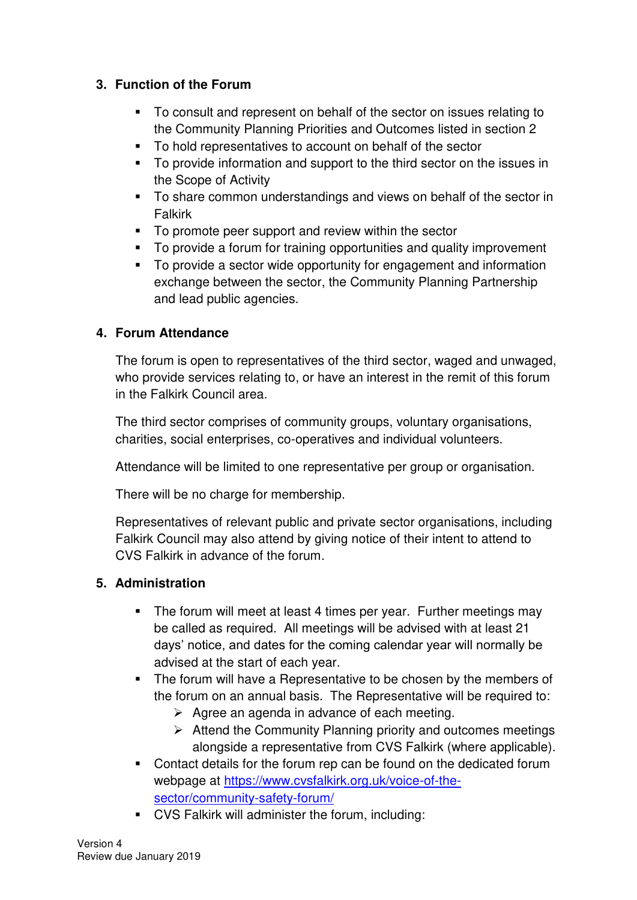## **3. Function of the Forum**

- To consult and represent on behalf of the sector on issues relating to the Community Planning Priorities and Outcomes listed in section 2
- To hold representatives to account on behalf of the sector
- To provide information and support to the third sector on the issues in the Scope of Activity
- To share common understandings and views on behalf of the sector in Falkirk
- To promote peer support and review within the sector
- To provide a forum for training opportunities and quality improvement
- To provide a sector wide opportunity for engagement and information exchange between the sector, the Community Planning Partnership and lead public agencies.

### **4. Forum Attendance**

The forum is open to representatives of the third sector, waged and unwaged, who provide services relating to, or have an interest in the remit of this forum in the Falkirk Council area.

The third sector comprises of community groups, voluntary organisations, charities, social enterprises, co-operatives and individual volunteers.

Attendance will be limited to one representative per group or organisation.

There will be no charge for membership.

Representatives of relevant public and private sector organisations, including Falkirk Council may also attend by giving notice of their intent to attend to CVS Falkirk in advance of the forum.

# **5. Administration**

- The forum will meet at least 4 times per year. Further meetings may be called as required. All meetings will be advised with at least 21 days' notice, and dates for the coming calendar year will normally be advised at the start of each year.
- The forum will have a Representative to be chosen by the members of the forum on an annual basis. The Representative will be required to:
	- $\triangleright$  Agree an agenda in advance of each meeting.
	- ➢ Attend the Community Planning priority and outcomes meetings alongside a representative from CVS Falkirk (where applicable).
- Contact details for the forum rep can be found on the dedicated forum webpage at [https://www.cvsfalkirk.org.uk/voice-of-the](https://www.cvsfalkirk.org.uk/voice-of-the-sector/community-safety-forum/)[sector/community-safety-forum/](https://www.cvsfalkirk.org.uk/voice-of-the-sector/community-safety-forum/)
- CVS Falkirk will administer the forum, including: